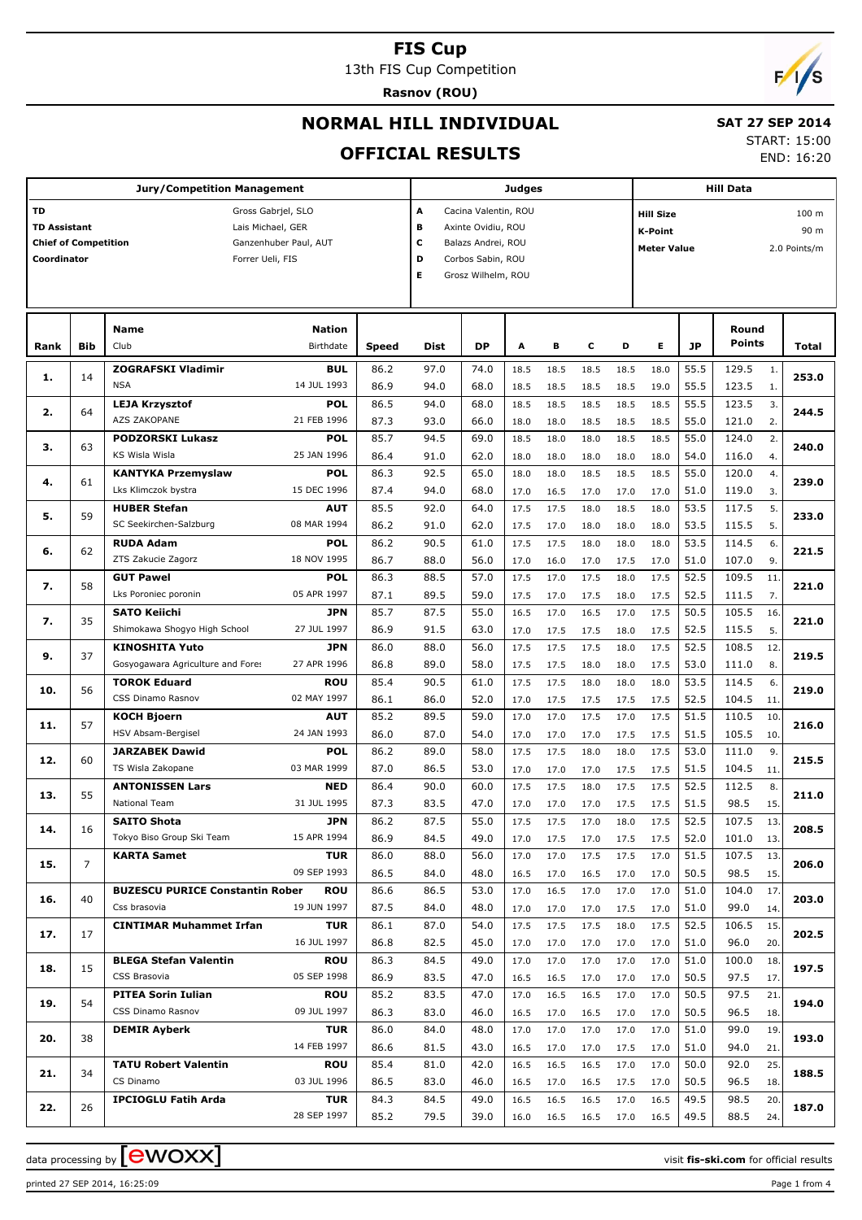13th FIS Cup Competition

**Rasnov (ROU)**



## **NORMAL HILL INDIVIDUAL**

#### **SAT 27 SEP 2014** START: 15:00

END: 16:20

# **OFFICIAL RESULTS**

|                             |                | <b>Jury/Competition Management</b>                   |              |                   |                      | <b>Hill Data</b> |      |      |      |                                      |           |                                    |     |       |  |  |  |
|-----------------------------|----------------|------------------------------------------------------|--------------|-------------------|----------------------|------------------|------|------|------|--------------------------------------|-----------|------------------------------------|-----|-------|--|--|--|
| <b>TD</b>                   |                | Gross Gabrjel, SLO                                   |              | A                 | Cacina Valentin, ROU |                  |      |      |      | <b>Hill Size</b><br>100 <sub>m</sub> |           |                                    |     |       |  |  |  |
| <b>TD Assistant</b>         |                | Lais Michael, GER                                    |              | в                 | Axinte Ovidiu, ROU   |                  |      |      |      | <b>K-Point</b><br>90 m               |           |                                    |     |       |  |  |  |
| <b>Chief of Competition</b> |                | Ganzenhuber Paul, AUT                                |              | с                 | Balazs Andrei, ROU   |                  |      |      |      |                                      |           | <b>Meter Value</b><br>2.0 Points/m |     |       |  |  |  |
| Coordinator                 |                | Forrer Ueli, FIS                                     | D            | Corbos Sabin, ROU |                      |                  |      |      |      |                                      |           |                                    |     |       |  |  |  |
|                             |                |                                                      |              | E.                | Grosz Wilhelm, ROU   |                  |      |      |      |                                      |           |                                    |     |       |  |  |  |
|                             |                |                                                      |              |                   |                      |                  |      |      |      |                                      |           |                                    |     |       |  |  |  |
|                             |                |                                                      |              |                   |                      |                  |      |      |      |                                      |           |                                    |     |       |  |  |  |
|                             |                | <b>Name</b><br>Nation                                |              |                   |                      |                  |      |      |      |                                      |           | Round                              |     |       |  |  |  |
| Rank                        | Bib            | Club<br>Birthdate                                    | <b>Speed</b> | Dist              | <b>DP</b>            | Α                | В    | с    | D    | Е                                    | <b>JP</b> | <b>Points</b>                      |     | Total |  |  |  |
|                             |                | <b>ZOGRAFSKI Vladimir</b><br><b>BUL</b>              | 86.2         | 97.0              | 74.0                 | 18.5             | 18.5 | 18.5 | 18.5 | 18.0                                 | 55.5      | 129.5                              | 1.  |       |  |  |  |
| 1.                          | 14             | <b>NSA</b><br>14 JUL 1993                            | 86.9         | 94.0              | 68.0                 | 18.5             | 18.5 | 18.5 | 18.5 | 19.0                                 | 55.5      | 123.5                              | 1.  | 253.0 |  |  |  |
|                             |                | <b>POL</b><br><b>LEJA Krzysztof</b>                  | 86.5         | 94.0              | 68.0                 | 18.5             | 18.5 | 18.5 | 18.5 | 18.5                                 | 55.5      | 123.5                              | 3.  |       |  |  |  |
| 2.                          | 64             | AZS ZAKOPANE<br>21 FEB 1996                          | 87.3         | 93.0              | 66.0                 | 18.0             | 18.0 | 18.5 | 18.5 | 18.5                                 | 55.0      | 121.0                              | 2.  | 244.5 |  |  |  |
|                             |                | <b>POL</b><br><b>PODZORSKI Lukasz</b>                | 85.7         | 94.5              | 69.0                 | 18.5             | 18.0 | 18.0 | 18.5 | 18.5                                 | 55.0      | 124.0                              | 2.  |       |  |  |  |
| з.                          | 63             | KS Wisla Wisla<br>25 JAN 1996                        | 86.4         | 91.0              | 62.0                 | 18.0             | 18.0 | 18.0 | 18.0 | 18.0                                 | 54.0      | 116.0                              | 4.  | 240.0 |  |  |  |
|                             |                | <b>POL</b><br><b>KANTYKA Przemyslaw</b>              | 86.3         | 92.5              | 65.0                 | 18.0             | 18.0 | 18.5 | 18.5 | 18.5                                 | 55.0      | 120.0                              | 4.  |       |  |  |  |
| 4.                          | 61             | Lks Klimczok bystra<br>15 DEC 1996                   | 87.4         | 94.0              | 68.0                 | 17.0             | 16.5 | 17.0 | 17.0 | 17.0                                 | 51.0      | 119.0                              | 3.  | 239.0 |  |  |  |
|                             |                | <b>HUBER Stefan</b><br>AUT                           | 85.5         | 92.0              | 64.0                 | 17.5             | 17.5 | 18.0 | 18.5 | 18.0                                 | 53.5      | 117.5                              | 5.  |       |  |  |  |
| 5.                          | 59             | SC Seekirchen-Salzburg<br>08 MAR 1994                | 86.2         | 91.0              | 62.0                 | 17.5             | 17.0 | 18.0 | 18.0 | 18.0                                 | 53.5      | 115.5                              | 5.  | 233.0 |  |  |  |
|                             |                | <b>RUDA Adam</b><br><b>POL</b>                       | 86.2         | 90.5              | 61.0                 | 17.5             | 17.5 | 18.0 | 18.0 | 18.0                                 | 53.5      | 114.5                              | 6.  |       |  |  |  |
| 6.                          | 62             | ZTS Zakucie Zagorz<br>18 NOV 1995                    | 86.7         | 88.0              | 56.0                 | 17.0             | 16.0 | 17.0 | 17.5 | 17.0                                 | 51.0      | 107.0                              | 9.  | 221.5 |  |  |  |
|                             |                | <b>GUT Pawel</b><br><b>POL</b>                       | 86.3         | 88.5              | 57.0                 | 17.5             | 17.0 | 17.5 | 18.0 | 17.5                                 | 52.5      | 109.5                              | 11  |       |  |  |  |
| 7.                          | 58             | Lks Poroniec poronin<br>05 APR 1997                  | 87.1         | 89.5              | 59.0                 | 17.5             | 17.0 | 17.5 | 18.0 | 17.5                                 | 52.5      | 111.5                              | 7.  | 221.0 |  |  |  |
|                             |                | <b>SATO Keiichi</b><br><b>JPN</b>                    | 85.7         | 87.5              | 55.0                 | 16.5             | 17.0 | 16.5 | 17.0 | 17.5                                 | 50.5      | 105.5                              | 16. |       |  |  |  |
| 7.                          | 35             | Shimokawa Shogyo High School<br>27 JUL 1997          | 86.9         | 91.5              | 63.0                 | 17.0             | 17.5 | 17.5 | 18.0 | 17.5                                 | 52.5      | 115.5                              | 5.  | 221.0 |  |  |  |
|                             |                | <b>KINOSHITA Yuto</b><br><b>JPN</b>                  | 86.0         | 88.0              | 56.0                 | 17.5             | 17.5 | 17.5 | 18.0 | 17.5                                 | 52.5      | 108.5                              | 12  |       |  |  |  |
| 9.                          | 37             | Gosyogawara Agriculture and Fores<br>27 APR 1996     | 86.8         | 89.0              | 58.0                 | 17.5             | 17.5 | 18.0 | 18.0 | 17.5                                 | 53.0      | 111.0                              | 8.  | 219.5 |  |  |  |
|                             |                | <b>TOROK Eduard</b><br>ROU                           | 85.4         | 90.5              | 61.0                 | 17.5             | 17.5 | 18.0 | 18.0 | 18.0                                 | 53.5      | 114.5                              | 6.  |       |  |  |  |
| 10.                         | 56             | CSS Dinamo Rasnov<br>02 MAY 1997                     | 86.1         | 86.0              | 52.0                 | 17.0             | 17.5 | 17.5 | 17.5 | 17.5                                 | 52.5      | 104.5                              | 11. | 219.0 |  |  |  |
|                             |                | <b>KOCH Bjoern</b><br>AUT                            | 85.2         | 89.5              | 59.0                 | 17.0             | 17.0 | 17.5 | 17.0 | 17.5                                 | 51.5      | 110.5                              | 10. |       |  |  |  |
| 11.                         | 57             | HSV Absam-Bergisel<br>24 JAN 1993                    | 86.0         | 87.0              | 54.0                 | 17.0             | 17.0 | 17.0 | 17.5 | 17.5                                 | 51.5      | 105.5                              | 10. | 216.0 |  |  |  |
|                             |                | <b>JARZABEK Dawid</b><br><b>POL</b>                  | 86.2         | 89.0              | 58.0                 | 17.5             | 17.5 | 18.0 | 18.0 | 17.5                                 | 53.0      | 111.0                              | 9.  |       |  |  |  |
| 12.                         | 60             | TS Wisla Zakopane<br>03 MAR 1999                     | 87.0         | 86.5              | 53.0                 | 17.0             | 17.0 | 17.0 | 17.5 | 17.5                                 | 51.5      | 104.5                              | 11. | 215.5 |  |  |  |
|                             |                | <b>ANTONISSEN Lars</b><br><b>NED</b>                 | 86.4         | 90.0              | 60.0                 | 17.5             | 17.5 | 18.0 | 17.5 | 17.5                                 | 52.5      | 112.5                              | 8.  |       |  |  |  |
| 13.                         | 55             | National Team<br>31 JUL 1995                         | 87.3         | 83.5              | 47.0                 | 17.0             | 17.0 | 17.0 | 17.5 | 17.5                                 | 51.5      | 98.5                               | 15. | 211.0 |  |  |  |
|                             |                | <b>SAITO Shota</b><br>JPN                            | 86.2         | 87.5              | 55.0                 | 17.5             | 17.5 | 17.0 | 18.0 | 17.5                                 | 52.5      | 107.5                              | 13. |       |  |  |  |
| 14.                         | $16\,$         | Tokyo Biso Group Ski Team<br>15 APR 1994             | 86.9         | 84.5              | 49.0                 | 17.0             | 17.5 | 17.0 | 17.5 | 17.5                                 | 52.0      | 101.0                              | 13. | 208.5 |  |  |  |
|                             |                | <b>KARTA Samet</b><br><b>TUR</b>                     | 86.0         | 88.0              | 56.0                 | 17.0             | 17.0 | 17.5 | 17.5 | 17.0                                 | 51.5      | 107.5                              | 13. |       |  |  |  |
| 15.                         | $\overline{7}$ | 09 SEP 1993                                          | 86.5         | 84.0              | 48.0                 | 16.5             | 17.0 | 16.5 | 17.0 | 17.0                                 | 50.5      | 98.5                               | 15. | 206.0 |  |  |  |
|                             |                | <b>BUZESCU PURICE Constantin Rober</b><br><b>ROU</b> | 86.6         | 86.5              | 53.0                 | 17.0             | 16.5 | 17.0 | 17.0 | 17.0                                 | 51.0      | 104.0                              | 17. |       |  |  |  |
| 16.                         | 40             | 19 JUN 1997<br>Css brasovia                          | 87.5         | 84.0              | 48.0                 | 17.0             | 17.0 | 17.0 | 17.5 | 17.0                                 | 51.0      | 99.0                               | 14. | 203.0 |  |  |  |
|                             |                | <b>CINTIMAR Muhammet Irfan</b><br>TUR                | 86.1         | 87.0              | 54.0                 | 17.5             | 17.5 | 17.5 | 18.0 | 17.5                                 | 52.5      | 106.5                              | 15. |       |  |  |  |
| 17.                         | 17             | 16 JUL 1997                                          | 86.8         | 82.5              | 45.0                 | 17.0             | 17.0 | 17.0 | 17.0 | 17.0                                 | 51.0      | 96.0                               | 20. | 202.5 |  |  |  |
|                             |                | <b>BLEGA Stefan Valentin</b><br>ROU                  | 86.3         | 84.5              | 49.0                 | 17.0             | 17.0 | 17.0 | 17.0 | 17.0                                 | 51.0      | 100.0                              | 18. |       |  |  |  |
| 18.                         | 15             | 05 SEP 1998<br>CSS Brasovia                          | 86.9         | 83.5              | 47.0                 | 16.5             | 16.5 | 17.0 | 17.0 | 17.0                                 | 50.5      | 97.5                               | 17. | 197.5 |  |  |  |
|                             |                | <b>PITEA Sorin Iulian</b><br>ROU                     | 85.2         | 83.5              | 47.0                 | 17.0             | 16.5 | 16.5 | 17.0 | 17.0                                 | 50.5      | 97.5                               | 21. |       |  |  |  |
| 19.                         | 54             | 09 JUL 1997<br>CSS Dinamo Rasnov                     | 86.3         | 83.0              | 46.0                 | 16.5             | 17.0 | 16.5 | 17.0 | 17.0                                 | 50.5      | 96.5                               | 18. | 194.0 |  |  |  |
|                             |                | <b>DEMIR Ayberk</b><br><b>TUR</b>                    | 86.0         | 84.0              | 48.0                 | 17.0             | 17.0 | 17.0 | 17.0 | 17.0                                 | 51.0      | 99.0                               | 19. |       |  |  |  |
| 20.                         | 38             | 14 FEB 1997                                          | 86.6         | 81.5              | 43.0                 | 16.5             | 17.0 | 17.0 | 17.5 | 17.0                                 | 51.0      | 94.0                               | 21. | 193.0 |  |  |  |
|                             |                | <b>TATU Robert Valentin</b><br>ROU                   | 85.4         | 81.0              | 42.0                 | 16.5             | 16.5 | 16.5 | 17.0 | 17.0                                 | 50.0      | 92.0                               | 25. |       |  |  |  |
| 21.                         | 34             | 03 JUL 1996<br>CS Dinamo                             | 86.5         | 83.0              | 46.0                 | 16.5             | 17.0 | 16.5 | 17.5 | 17.0                                 | 50.5      | 96.5                               | 18. | 188.5 |  |  |  |
|                             |                | <b>IPCIOGLU Fatih Arda</b><br><b>TUR</b>             | 84.3         | 84.5              | 49.0                 | 16.5             | 16.5 | 16.5 | 17.0 | 16.5                                 | 49.5      | 98.5                               | 20. |       |  |  |  |
| 22.                         | 26             | 28 SEP 1997                                          | 85.2         | 79.5              | 39.0                 | 16.0             | 16.5 | 16.5 | 17.0 | 16.5                                 | 49.5      | 88.5                               | 24. | 187.0 |  |  |  |
|                             |                |                                                      |              |                   |                      |                  |      |      |      |                                      |           |                                    |     |       |  |  |  |

data processing by **CWOXX** and the set of the set of the set of the set of the set of the set of the set of the set of the set of the set of the set of the set of the set of the set of the set of the set of the set of the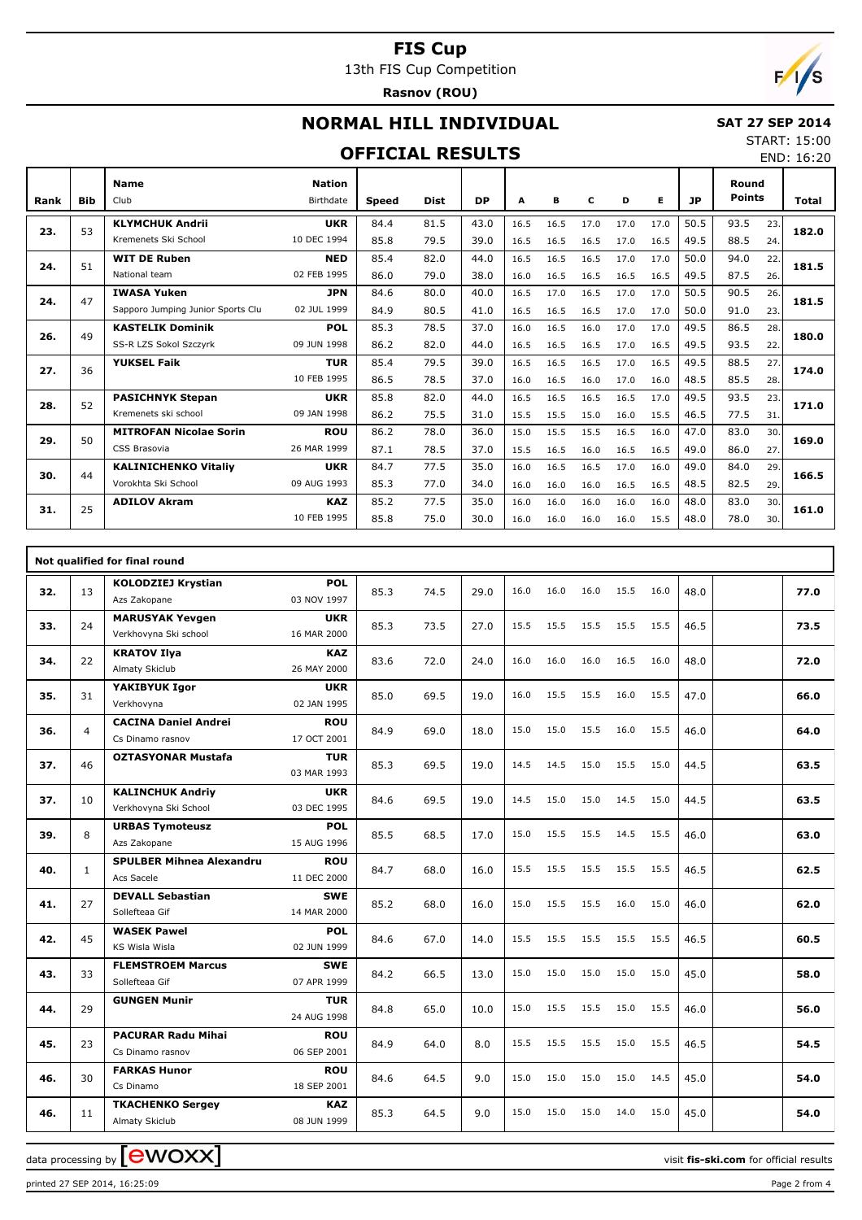13th FIS Cup Competition

**Rasnov (ROU)**

# $F/1/s$

## **NORMAL HILL INDIVIDUAL**

#### **SAT 27 SEP 2014**

#### **OFFICIAL RESULTS**

START: 15:00 END: 16:20

| Rank | <b>Bib</b> | <b>Name</b><br>Club               | <b>Nation</b><br><b>Birthdate</b> | <b>Speed</b> | <b>Dist</b> | DP   | A    | в    | C    | D    | Е    | JP   | Round<br><b>Points</b> |     | Total |
|------|------------|-----------------------------------|-----------------------------------|--------------|-------------|------|------|------|------|------|------|------|------------------------|-----|-------|
|      |            | <b>KLYMCHUK Andrii</b>            | <b>UKR</b>                        | 84.4         | 81.5        | 43.0 | 16.5 | 16.5 | 17.0 | 17.0 | 17.0 | 50.5 | 93.5                   | 23. |       |
| 23.  | 53         | Kremenets Ski School              | 10 DEC 1994                       | 85.8         | 79.5        | 39.0 | 16.5 | 16.5 | 16.5 | 17.0 | 16.5 | 49.5 | 88.5                   | 24. | 182.0 |
|      | 51         | <b>WIT DE Ruben</b>               | <b>NED</b>                        | 85.4         | 82.0        | 44.0 | 16.5 | 16.5 | 16.5 | 17.0 | 17.0 | 50.0 | 94.0                   | 22. | 181.5 |
| 24.  |            | National team                     | 02 FEB 1995                       | 86.0         | 79.0        | 38.0 | 16.0 | 16.5 | 16.5 | 16.5 | 16.5 | 49.5 | 87.5                   | 26. |       |
| 24.  | 47         | <b>IWASA Yuken</b>                | <b>JPN</b>                        | 84.6         | 80.0        | 40.0 | 16.5 | 17.0 | 16.5 | 17.0 | 17.0 | 50.5 | 90.5                   | 26. | 181.5 |
|      |            | Sapporo Jumping Junior Sports Clu | 02 JUL 1999                       | 84.9         | 80.5        | 41.0 | 16.5 | 16.5 | 16.5 | 17.0 | 17.0 | 50.0 | 91.0                   | 23. |       |
| 26.  | 49         | <b>KASTELIK Dominik</b>           | <b>POL</b>                        | 85.3         | 78.5        | 37.0 | 16.0 | 16.5 | 16.0 | 17.0 | 17.0 | 49.5 | 86.5                   | 28. | 180.0 |
|      |            | SS-R LZS Sokol Szczyrk            | 09 JUN 1998                       | 86.2         | 82.0        | 44.0 | 16.5 | 16.5 | 16.5 | 17.0 | 16.5 | 49.5 | 93.5                   | 22. |       |
| 27.  | 36         | <b>YUKSEL Faik</b>                | <b>TUR</b>                        | 85.4         | 79.5        | 39.0 | 16.5 | 16.5 | 16.5 | 17.0 | 16.5 | 49.5 | 88.5                   | 27. | 174.0 |
|      |            |                                   | 10 FEB 1995                       | 86.5         | 78.5        | 37.0 | 16.0 | 16.5 | 16.0 | 17.0 | 16.0 | 48.5 | 85.5                   | 28. |       |
| 28.  | 52         | <b>PASICHNYK Stepan</b>           | <b>UKR</b>                        | 85.8         | 82.0        | 44.0 | 16.5 | 16.5 | 16.5 | 16.5 | 17.0 | 49.5 | 93.5                   | 23. | 171.0 |
|      |            | Kremenets ski school              | 09 JAN 1998                       | 86.2         | 75.5        | 31.0 | 15.5 | 15.5 | 15.0 | 16.0 | 15.5 | 46.5 | 77.5                   | 31. |       |
| 29.  | 50         | <b>MITROFAN Nicolae Sorin</b>     | <b>ROU</b>                        | 86.2         | 78.0        | 36.0 | 15.0 | 15.5 | 15.5 | 16.5 | 16.0 | 47.0 | 83.0                   | 30. | 169.0 |
|      |            | CSS Brasovia                      | 26 MAR 1999                       | 87.1         | 78.5        | 37.0 | 15.5 | 16.5 | 16.0 | 16.5 | 16.5 | 49.0 | 86.0                   | 27. |       |
| 30.  | 44         | <b>KALINICHENKO Vitaliy</b>       | <b>UKR</b>                        | 84.7         | 77.5        | 35.0 | 16.0 | 16.5 | 16.5 | 17.0 | 16.0 | 49.0 | 84.0                   | 29. | 166.5 |
|      |            | Vorokhta Ski School               | 09 AUG 1993                       | 85.3         | 77.0        | 34.0 | 16.0 | 16.0 | 16.0 | 16.5 | 16.5 | 48.5 | 82.5                   | 29. |       |
| 31.  | 25         | <b>ADILOV Akram</b>               | <b>KAZ</b>                        | 85.2         | 77.5        | 35.0 | 16.0 | 16.0 | 16.0 | 16.0 | 16.0 | 48.0 | 83.0                   | 30. | 161.0 |
|      |            |                                   | 10 FEB 1995                       | 85.8         | 75.0        | 30.0 | 16.0 | 16.0 | 16.0 | 16.0 | 15.5 | 48.0 | 78.0                   | 30. |       |

|     | Not qualified for final round |                                                  |                           |      |      |      |      |      |      |      |      |      |  |      |
|-----|-------------------------------|--------------------------------------------------|---------------------------|------|------|------|------|------|------|------|------|------|--|------|
| 32. | 13                            | <b>KOLODZIEJ Krystian</b><br>Azs Zakopane        | <b>POL</b><br>03 NOV 1997 | 85.3 | 74.5 | 29.0 | 16.0 | 16.0 | 16.0 | 15.5 | 16.0 | 48.0 |  | 77.0 |
| 33. | 24                            | <b>MARUSYAK Yevgen</b><br>Verkhovyna Ski school  | <b>UKR</b><br>16 MAR 2000 | 85.3 | 73.5 | 27.0 | 15.5 | 15.5 | 15.5 | 15.5 | 15.5 | 46.5 |  | 73.5 |
| 34. | 22                            | <b>KRATOV Ilya</b><br>Almaty Skiclub             | <b>KAZ</b><br>26 MAY 2000 | 83.6 | 72.0 | 24.0 | 16.0 | 16.0 | 16.0 | 16.5 | 16.0 | 48.0 |  | 72.0 |
| 35. | 31                            | YAKIBYUK Igor<br>Verkhovyna                      | <b>UKR</b><br>02 JAN 1995 | 85.0 | 69.5 | 19.0 | 16.0 | 15.5 | 15.5 | 16.0 | 15.5 | 47.0 |  | 66.0 |
| 36. | $\overline{4}$                | <b>CACINA Daniel Andrei</b><br>Cs Dinamo rasnov  | <b>ROU</b><br>17 OCT 2001 | 84.9 | 69.0 | 18.0 | 15.0 | 15.0 | 15.5 | 16.0 | 15.5 | 46.0 |  | 64.0 |
| 37. | 46                            | <b>OZTASYONAR Mustafa</b>                        | <b>TUR</b><br>03 MAR 1993 | 85.3 | 69.5 | 19.0 | 14.5 | 14.5 | 15.0 | 15.5 | 15.0 | 44.5 |  | 63.5 |
| 37. | 10                            | <b>KALINCHUK Andriy</b><br>Verkhovyna Ski School | <b>UKR</b><br>03 DEC 1995 | 84.6 | 69.5 | 19.0 | 14.5 | 15.0 | 15.0 | 14.5 | 15.0 | 44.5 |  | 63.5 |
| 39. | 8                             | <b>URBAS Tymoteusz</b><br>Azs Zakopane           | <b>POL</b><br>15 AUG 1996 | 85.5 | 68.5 | 17.0 | 15.0 | 15.5 | 15.5 | 14.5 | 15.5 | 46.0 |  | 63.0 |
| 40. | $\mathbf{1}$                  | <b>SPULBER Mihnea Alexandru</b><br>Acs Sacele    | <b>ROU</b><br>11 DEC 2000 | 84.7 | 68.0 | 16.0 | 15.5 | 15.5 | 15.5 | 15.5 | 15.5 | 46.5 |  | 62.5 |
| 41. | 27                            | <b>DEVALL Sebastian</b><br>Sollefteaa Gif        | <b>SWE</b><br>14 MAR 2000 | 85.2 | 68.0 | 16.0 | 15.0 | 15.5 | 15.5 | 16.0 | 15.0 | 46.0 |  | 62.0 |
| 42. | 45                            | <b>WASEK Pawel</b><br>KS Wisla Wisla             | <b>POL</b><br>02 JUN 1999 | 84.6 | 67.0 | 14.0 | 15.5 | 15.5 | 15.5 | 15.5 | 15.5 | 46.5 |  | 60.5 |
| 43. | 33                            | <b>FLEMSTROEM Marcus</b><br>Sollefteaa Gif       | <b>SWE</b><br>07 APR 1999 | 84.2 | 66.5 | 13.0 | 15.0 | 15.0 | 15.0 | 15.0 | 15.0 | 45.0 |  | 58.0 |
| 44. | 29                            | <b>GUNGEN Munir</b>                              | <b>TUR</b><br>24 AUG 1998 | 84.8 | 65.0 | 10.0 | 15.0 | 15.5 | 15.5 | 15.0 | 15.5 | 46.0 |  | 56.0 |
| 45. | 23                            | <b>PACURAR Radu Mihai</b><br>Cs Dinamo rasnov    | <b>ROU</b><br>06 SEP 2001 | 84.9 | 64.0 | 8.0  | 15.5 | 15.5 | 15.5 | 15.0 | 15.5 | 46.5 |  | 54.5 |
| 46. | 30                            | <b>FARKAS Hunor</b><br>Cs Dinamo                 | <b>ROU</b><br>18 SEP 2001 | 84.6 | 64.5 | 9.0  | 15.0 | 15.0 | 15.0 | 15.0 | 14.5 | 45.0 |  | 54.0 |
| 46. | 11                            | <b>TKACHENKO Sergey</b><br>Almaty Skiclub        | <b>KAZ</b><br>08 JUN 1999 | 85.3 | 64.5 | 9.0  | 15.0 | 15.0 | 15.0 | 14.0 | 15.0 | 45.0 |  | 54.0 |

data processing by **CWOXX**  $\blacksquare$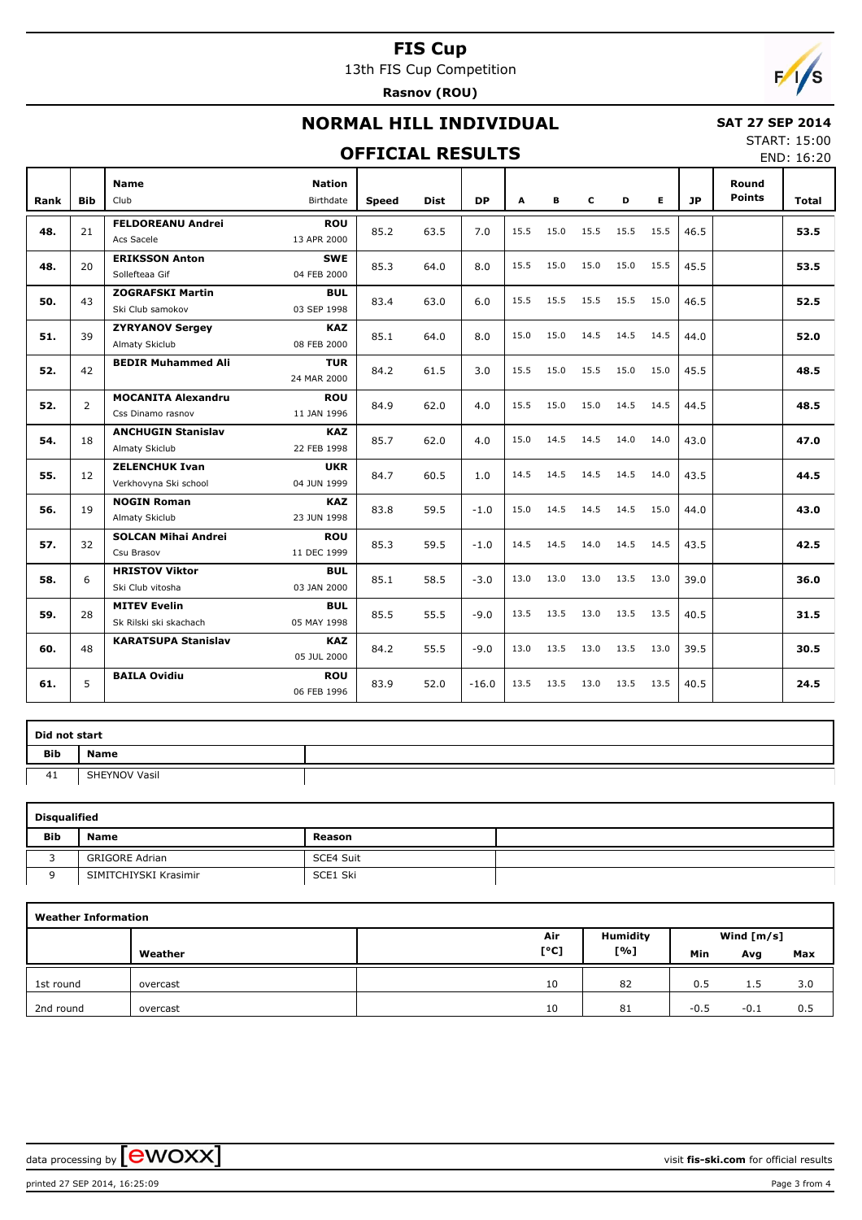13th FIS Cup Competition

**Rasnov (ROU)**



# **NORMAL HILL INDIVIDUAL**

#### **OFFICIAL RESULTS**

 **SAT 27 SEP 2014** START: 15:00

END: 16:20

| Rank | <b>Bib</b>     | <b>Name</b><br>Club        | <b>Nation</b><br>Birthdate | <b>Speed</b> | <b>Dist</b> | <b>DP</b> | A    | В    | c    | D    | E.   | <b>JP</b> | Round<br><b>Points</b> | <b>Total</b> |
|------|----------------|----------------------------|----------------------------|--------------|-------------|-----------|------|------|------|------|------|-----------|------------------------|--------------|
|      |                | <b>FELDOREANU Andrei</b>   | <b>ROU</b>                 |              |             |           |      |      |      |      |      |           |                        |              |
| 48.  | 21             | Acs Sacele                 | 13 APR 2000                | 85.2         | 63.5        | 7.0       | 15.5 | 15.0 | 15.5 | 15.5 | 15.5 | 46.5      |                        | 53.5         |
| 48.  | 20             | <b>ERIKSSON Anton</b>      | <b>SWE</b>                 | 85.3         |             |           | 15.5 | 15.0 | 15.0 | 15.0 | 15.5 | 45.5      |                        | 53.5         |
|      |                | Sollefteaa Gif             | 04 FEB 2000                |              | 64.0        | 8.0       |      |      |      |      |      |           |                        |              |
| 50.  | 43             | <b>ZOGRAFSKI Martin</b>    | <b>BUL</b>                 | 83.4         | 63.0        | 6.0       | 15.5 | 15.5 | 15.5 | 15.5 | 15.0 | 46.5      |                        | 52.5         |
|      |                | Ski Club samokov           | 03 SEP 1998                |              |             |           |      |      |      |      |      |           |                        |              |
| 51.  | 39             | <b>ZYRYANOV Sergey</b>     | <b>KAZ</b>                 | 85.1         | 64.0        | 8.0       | 15.0 | 15.0 | 14.5 | 14.5 | 14.5 | 44.0      |                        | 52.0         |
|      |                | Almaty Skiclub             | 08 FEB 2000                |              |             |           |      |      |      |      |      |           |                        |              |
| 52.  | 42             | <b>BEDIR Muhammed Ali</b>  | TUR                        | 84.2         | 61.5        | 3.0       | 15.5 | 15.0 | 15.5 | 15.0 | 15.0 | 45.5      |                        | 48.5         |
|      |                |                            | 24 MAR 2000                |              |             |           |      |      |      |      |      |           |                        |              |
| 52.  | $\overline{2}$ | <b>MOCANITA Alexandru</b>  | <b>ROU</b>                 | 84.9         | 62.0        | 4.0       | 15.5 | 15.0 | 15.0 | 14.5 | 14.5 | 44.5      |                        | 48.5         |
|      |                | Css Dinamo rasnov          | 11 JAN 1996                |              |             |           |      |      |      |      |      |           |                        |              |
| 54.  | 18             | <b>ANCHUGIN Stanislav</b>  | <b>KAZ</b>                 | 85.7         | 62.0        | 4.0       | 15.0 | 14.5 | 14.5 | 14.0 | 14.0 | 43.0      |                        | 47.0         |
|      |                | Almaty Skiclub             | 22 FEB 1998                |              |             |           |      |      |      |      |      |           |                        |              |
| 55.  | 12             | <b>ZELENCHUK Ivan</b>      | <b>UKR</b>                 | 84.7         | 60.5        | 1.0       | 14.5 | 14.5 | 14.5 | 14.5 | 14.0 | 43.5      |                        | 44.5         |
|      |                | Verkhovyna Ski school      | 04 JUN 1999                |              |             |           |      |      |      |      |      |           |                        |              |
| 56.  | 19             | <b>NOGIN Roman</b>         | <b>KAZ</b>                 | 83.8         | 59.5        | $-1.0$    | 15.0 | 14.5 | 14.5 | 14.5 | 15.0 | 44.0      |                        | 43.0         |
|      |                | Almaty Skiclub             | 23 JUN 1998                |              |             |           |      |      |      |      |      |           |                        |              |
| 57.  | 32             | <b>SOLCAN Mihai Andrei</b> | <b>ROU</b>                 | 85.3         | 59.5        | $-1.0$    | 14.5 | 14.5 | 14.0 | 14.5 | 14.5 | 43.5      |                        | 42.5         |
|      |                | Csu Brasov                 | 11 DEC 1999                |              |             |           |      |      |      |      |      |           |                        |              |
| 58.  | 6              | <b>HRISTOV Viktor</b>      | <b>BUL</b>                 | 85.1         | 58.5        | $-3.0$    | 13.0 | 13.0 | 13.0 | 13.5 | 13.0 | 39.0      |                        | 36.0         |
|      |                | Ski Club vitosha           | 03 JAN 2000                |              |             |           |      |      |      |      |      |           |                        |              |
| 59.  | 28             | <b>MITEV Evelin</b>        | <b>BUL</b>                 | 85.5         | 55.5        | $-9.0$    | 13.5 | 13.5 | 13.0 | 13.5 | 13.5 | 40.5      |                        | 31.5         |
|      |                | Sk Rilski ski skachach     | 05 MAY 1998                |              |             |           |      |      |      |      |      |           |                        |              |
| 60.  | 48             | <b>KARATSUPA Stanislav</b> | <b>KAZ</b><br>05 JUL 2000  | 84.2         | 55.5        | $-9.0$    | 13.0 | 13.5 | 13.0 | 13.5 | 13.0 | 39.5      |                        | 30.5         |
| 61.  | 5              | <b>BAILA Ovidiu</b>        | <b>ROU</b><br>06 FEB 1996  | 83.9         | 52.0        | $-16.0$   | 13.5 | 13.5 | 13.0 | 13.5 | 13.5 | 40.5      |                        | 24.5         |

| Did not start |               |  |  |  |  |  |  |  |  |  |
|---------------|---------------|--|--|--|--|--|--|--|--|--|
| Bib           | Name          |  |  |  |  |  |  |  |  |  |
| 41            | SHEYNOV Vasil |  |  |  |  |  |  |  |  |  |

| <b>Disqualified</b> |                       |           |  |  |  |  |  |  |  |  |  |  |
|---------------------|-----------------------|-----------|--|--|--|--|--|--|--|--|--|--|
| <b>Bib</b>          | <b>Name</b>           | Reason    |  |  |  |  |  |  |  |  |  |  |
|                     | <b>GRIGORE Adrian</b> | SCE4 Suit |  |  |  |  |  |  |  |  |  |  |
|                     | SIMITCHIYSKI Krasimir | SCE1 Ski  |  |  |  |  |  |  |  |  |  |  |

| <b>Weather Information</b> |          |      |                 |              |        |     |  |  |  |  |  |  |
|----------------------------|----------|------|-----------------|--------------|--------|-----|--|--|--|--|--|--|
|                            |          | Air  | <b>Humidity</b> | Wind $[m/s]$ |        |     |  |  |  |  |  |  |
|                            | Weather  | [°C] | [%]             | Min          | Avg    | Max |  |  |  |  |  |  |
| 1st round                  | overcast | 10   | 82              | 0.5          | 1.5    | 3.0 |  |  |  |  |  |  |
| 2nd round                  | overcast | 10   | 81              | $-0.5$       | $-0.1$ | 0.5 |  |  |  |  |  |  |

printed 27 SEP 2014, 16:25:09 Page 3 from 4

data processing by **CWOXX**  $\blacksquare$